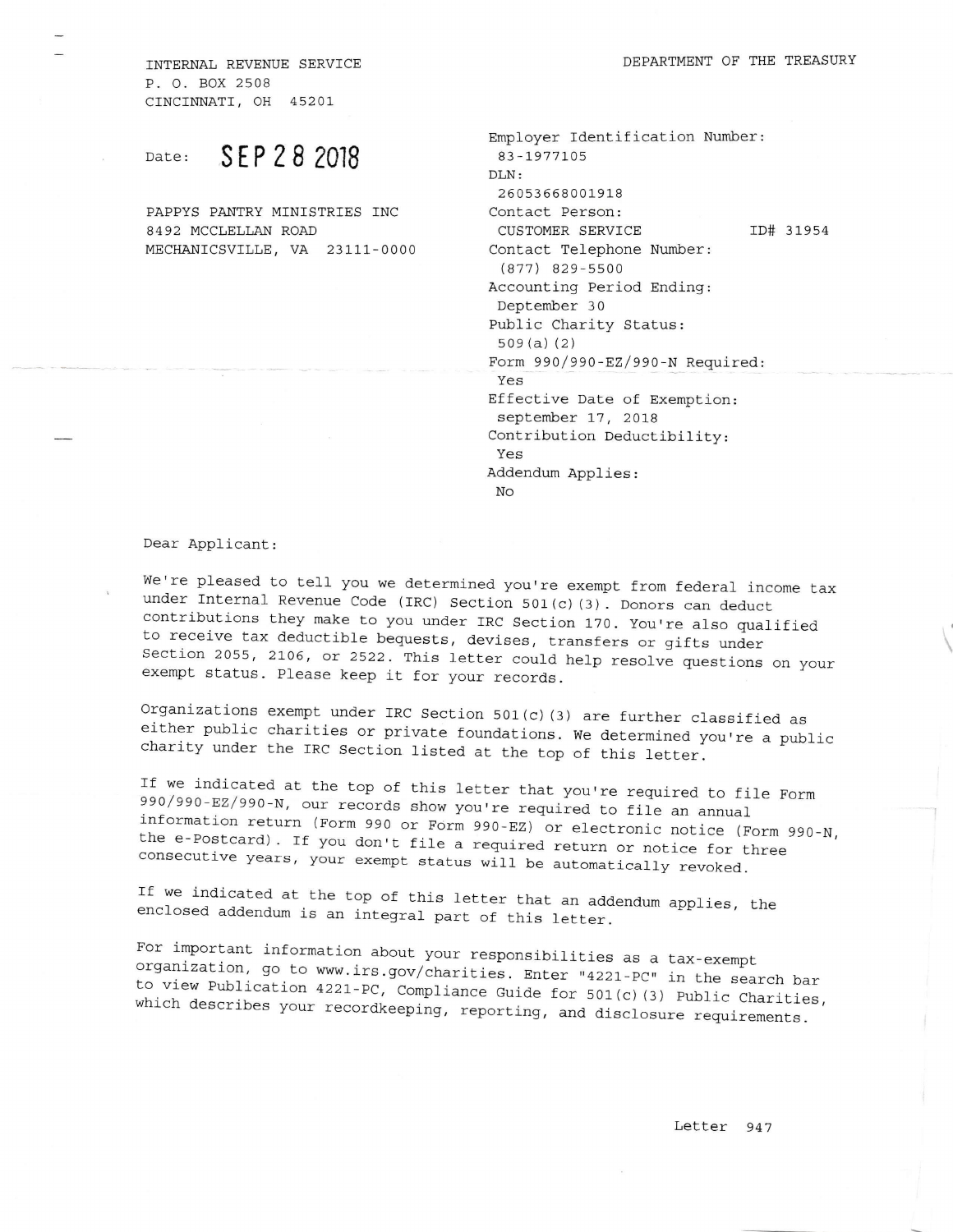INTERNAI, REVENUE SERVICE P. O. BOX 2508 CINCINNATI, OH 4520L

Date: **SEP 28 2018** 

PAPPYS PANTRY MINfSTRIES INC 8492 MCCLELLAN ROAD MECHANICSVILLE, VA 23111-0000

| Employer Identification Number:        |
|----------------------------------------|
| 83-1977105                             |
| DT.N:                                  |
| 26053668001918                         |
| Contact Person:                        |
| ID# 31954<br>CUSTOMER SERVICE          |
| Contact Telephone Number:              |
| $(877)$ 829-5500                       |
| Accounting Period Ending:              |
| Deptember 30                           |
| Public Charity Status:                 |
| 509(a)(2)                              |
| Form $990/990 - EZ/990 - N Required$ : |
| Yes                                    |
| Effective Date of Exemption:           |
| september 17, 2018                     |
| Contribution Deductibility:            |
| Yes                                    |
| Addendum Applies:                      |
| No                                     |
|                                        |

Dear Applicant.:

We're pleased to tell you we determined you're exempt from federal income tax<br>under Internal Revenue Code (IRC) Section 501(c)(3). Donors can deduct<br>contributions they make to you under IRC Section 170. You're also qualifi

Organizations exempt under IRC Section 501(c) (3) are further classified as either public charities or private foundations. We determined you're a public charity under the IRC section listed at the top of this letter.

If we indicated at the top of this letter that you're required to file Form<br>990/990-EZ/990-N, our records show you're required to file an annual<br>information return (Form 990 or Form 990-EZ) or electronic notice (Form 990-N consecutive years, your exempt status will be automatically revoked. the e-Postcard). If you don't file a required return or notice for three

If we indicated at the top of this letter that an addendum applies, the enclosed addendum is an integral part of this letter.

For important information about your responsibilities as a tax-exempt<br>organization, go to www.irs.gov/charities. Enter "4221-PC" in the search bar<br>to view Publication 4221-PC, Compliance Guide for 501(c)(3) Public Chariti to view Publication 4221-PC, Compliance Guide for 501(c)(3) Public Charities,<br>which describes your recordkeeping, reporting, and disclosure requirements.